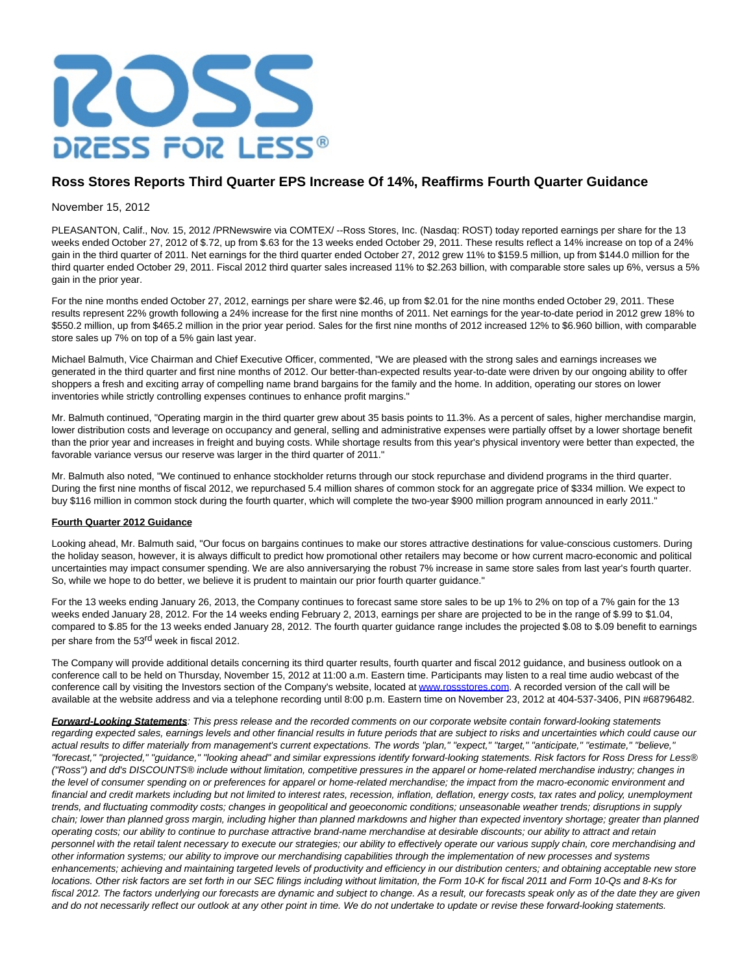

# **Ross Stores Reports Third Quarter EPS Increase Of 14%, Reaffirms Fourth Quarter Guidance**

### November 15, 2012

PLEASANTON, Calif., Nov. 15, 2012 /PRNewswire via COMTEX/ --Ross Stores, Inc. (Nasdaq: ROST) today reported earnings per share for the 13 weeks ended October 27, 2012 of \$.72, up from \$.63 for the 13 weeks ended October 29, 2011. These results reflect a 14% increase on top of a 24% gain in the third quarter of 2011. Net earnings for the third quarter ended October 27, 2012 grew 11% to \$159.5 million, up from \$144.0 million for the third quarter ended October 29, 2011. Fiscal 2012 third quarter sales increased 11% to \$2.263 billion, with comparable store sales up 6%, versus a 5% gain in the prior year.

For the nine months ended October 27, 2012, earnings per share were \$2.46, up from \$2.01 for the nine months ended October 29, 2011. These results represent 22% growth following a 24% increase for the first nine months of 2011. Net earnings for the year-to-date period in 2012 grew 18% to \$550.2 million, up from \$465.2 million in the prior year period. Sales for the first nine months of 2012 increased 12% to \$6.960 billion, with comparable store sales up 7% on top of a 5% gain last year.

Michael Balmuth, Vice Chairman and Chief Executive Officer, commented, "We are pleased with the strong sales and earnings increases we generated in the third quarter and first nine months of 2012. Our better-than-expected results year-to-date were driven by our ongoing ability to offer shoppers a fresh and exciting array of compelling name brand bargains for the family and the home. In addition, operating our stores on lower inventories while strictly controlling expenses continues to enhance profit margins."

Mr. Balmuth continued, "Operating margin in the third quarter grew about 35 basis points to 11.3%. As a percent of sales, higher merchandise margin, lower distribution costs and leverage on occupancy and general, selling and administrative expenses were partially offset by a lower shortage benefit than the prior year and increases in freight and buying costs. While shortage results from this year's physical inventory were better than expected, the favorable variance versus our reserve was larger in the third quarter of 2011."

Mr. Balmuth also noted, "We continued to enhance stockholder returns through our stock repurchase and dividend programs in the third quarter. During the first nine months of fiscal 2012, we repurchased 5.4 million shares of common stock for an aggregate price of \$334 million. We expect to buy \$116 million in common stock during the fourth quarter, which will complete the two-year \$900 million program announced in early 2011."

### **Fourth Quarter 2012 Guidance**

Looking ahead, Mr. Balmuth said, "Our focus on bargains continues to make our stores attractive destinations for value-conscious customers. During the holiday season, however, it is always difficult to predict how promotional other retailers may become or how current macro-economic and political uncertainties may impact consumer spending. We are also anniversarying the robust 7% increase in same store sales from last year's fourth quarter. So, while we hope to do better, we believe it is prudent to maintain our prior fourth quarter guidance."

For the 13 weeks ending January 26, 2013, the Company continues to forecast same store sales to be up 1% to 2% on top of a 7% gain for the 13 weeks ended January 28, 2012. For the 14 weeks ending February 2, 2013, earnings per share are projected to be in the range of \$.99 to \$1.04, compared to \$.85 for the 13 weeks ended January 28, 2012. The fourth quarter guidance range includes the projected \$.08 to \$.09 benefit to earnings per share from the 53<sup>rd</sup> week in fiscal 2012.

The Company will provide additional details concerning its third quarter results, fourth quarter and fiscal 2012 guidance, and business outlook on a conference call to be held on Thursday, November 15, 2012 at 11:00 a.m. Eastern time. Participants may listen to a real time audio webcast of the conference call by visiting the Investors section of the Company's website, located at [www.rossstores.com.](http://www.rossstores.com/) A recorded version of the call will be available at the website address and via a telephone recording until 8:00 p.m. Eastern time on November 23, 2012 at 404-537-3406, PIN #68796482.

**Forward-Looking Statements**: This press release and the recorded comments on our corporate website contain forward-looking statements regarding expected sales, earnings levels and other financial results in future periods that are subject to risks and uncertainties which could cause our actual results to differ materially from management's current expectations. The words "plan," "expect," "target," "anticipate," "estimate," "believe," "forecast," "projected," "guidance," "looking ahead" and similar expressions identify forward-looking statements. Risk factors for Ross Dress for Less® ("Ross") and dd's DISCOUNTS® include without limitation, competitive pressures in the apparel or home-related merchandise industry; changes in the level of consumer spending on or preferences for apparel or home-related merchandise; the impact from the macro-economic environment and financial and credit markets including but not limited to interest rates, recession, inflation, deflation, energy costs, tax rates and policy, unemployment trends, and fluctuating commodity costs; changes in geopolitical and geoeconomic conditions; unseasonable weather trends; disruptions in supply chain; lower than planned gross margin, including higher than planned markdowns and higher than expected inventory shortage; greater than planned operating costs; our ability to continue to purchase attractive brand-name merchandise at desirable discounts; our ability to attract and retain personnel with the retail talent necessary to execute our strategies; our ability to effectively operate our various supply chain, core merchandising and other information systems; our ability to improve our merchandising capabilities through the implementation of new processes and systems enhancements; achieving and maintaining targeted levels of productivity and efficiency in our distribution centers; and obtaining acceptable new store locations. Other risk factors are set forth in our SEC filings including without limitation, the Form 10-K for fiscal 2011 and Form 10-Qs and 8-Ks for fiscal 2012. The factors underlying our forecasts are dynamic and subject to change. As a result, our forecasts speak only as of the date they are given and do not necessarily reflect our outlook at any other point in time. We do not undertake to update or revise these forward-looking statements.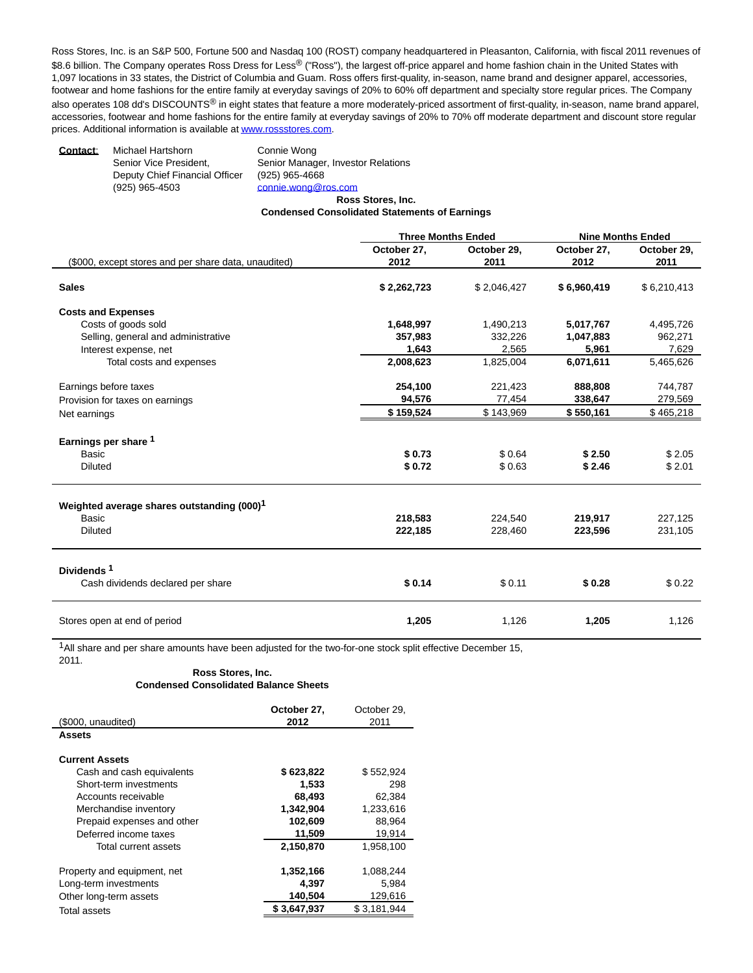Ross Stores, Inc. is an S&P 500, Fortune 500 and Nasdaq 100 (ROST) company headquartered in Pleasanton, California, with fiscal 2011 revenues of \$8.6 billion. The Company operates Ross Dress for Less® ("Ross"), the largest off-price apparel and home fashion chain in the United States with 1,097 locations in 33 states, the District of Columbia and Guam. Ross offers first-quality, in-season, name brand and designer apparel, accessories, footwear and home fashions for the entire family at everyday savings of 20% to 60% off department and specialty store regular prices. The Company also operates 108 dd's DISCOUNTS<sup>®</sup> in eight states that feature a more moderately-priced assortment of first-quality, in-season, name brand apparel, accessories, footwear and home fashions for the entire family at everyday savings of 20% to 70% off moderate department and discount store regular prices. Additional information is available a[t www.rossstores.com.](http://www.rossstores.com/)

| Contact: | Michael Hartshorn              | Connie Wong                        |
|----------|--------------------------------|------------------------------------|
|          | Senior Vice President.         | Senior Manager, Investor Relations |
|          | Deputy Chief Financial Officer | $(925)$ 965-4668                   |
|          | $(925)$ 965-4503               | connie.wong@ros.com                |
|          |                                |                                    |

#### **Ross Stores, Inc. Condensed Consolidated Statements of Earnings**

|                                                             | <b>Three Months Ended</b> |                    | <b>Nine Months Ended</b> |                    |
|-------------------------------------------------------------|---------------------------|--------------------|--------------------------|--------------------|
|                                                             | October 27,               | October 29,        | October 27,              | October 29,        |
| (\$000, except stores and per share data, unaudited)        | 2012                      | 2011               | 2012                     | 2011               |
| <b>Sales</b>                                                | \$2,262,723               | \$2,046,427        | \$6,960,419              | \$6,210,413        |
| <b>Costs and Expenses</b>                                   |                           |                    |                          |                    |
| Costs of goods sold                                         | 1,648,997                 | 1,490,213          | 5,017,767                | 4,495,726          |
| Selling, general and administrative                         | 357,983                   | 332,226            | 1,047,883                | 962,271            |
| Interest expense, net                                       | 1,643                     | 2,565              | 5,961                    | 7.629              |
| Total costs and expenses                                    | 2,008,623                 | 1,825,004          | 6,071,611                | 5,465,626          |
| Earnings before taxes                                       | 254,100                   | 221,423            | 888,808                  | 744,787            |
| Provision for taxes on earnings                             | 94.576                    | 77,454             | 338,647                  | 279,569            |
| Net earnings                                                | \$159,524                 | \$143,969          | \$550,161                | \$465,218          |
| Earnings per share 1<br>Basic<br>Diluted                    | \$0.73<br>\$0.72          | \$0.64<br>\$0.63   | \$2.50<br>\$2.46         | \$2.05<br>\$2.01   |
| Weighted average shares outstanding (000) <sup>1</sup>      |                           |                    |                          |                    |
| Basic<br><b>Diluted</b>                                     | 218,583<br>222,185        | 224,540<br>228,460 | 219,917<br>223,596       | 227,125<br>231,105 |
| Dividends <sup>1</sup><br>Cash dividends declared per share | \$0.14                    | \$0.11             | \$0.28                   | \$0.22             |
|                                                             |                           |                    |                          |                    |
| Stores open at end of period                                | 1,205                     | 1,126              | 1,205                    | 1,126              |

<sup>1</sup>All share and per share amounts have been adjusted for the two-for-one stock split effective December 15, 2011.

#### **Ross Stores, Inc. Condensed Consolidated Balance Sheets**

| (\$000, unaudited)          | October 27,<br>2012 | October 29,<br>2011 |
|-----------------------------|---------------------|---------------------|
| Assets                      |                     |                     |
|                             |                     |                     |
| <b>Current Assets</b>       |                     |                     |
| Cash and cash equivalents   | \$623,822           | \$552,924           |
| Short-term investments      | 1.533               | 298                 |
| Accounts receivable         | 68,493              | 62,384              |
| Merchandise inventory       | 1,342,904           | 1,233,616           |
| Prepaid expenses and other  | 102,609             | 88,964              |
| Deferred income taxes       | 11,509              | 19,914              |
| Total current assets        | 2,150,870           | 1.958.100           |
| Property and equipment, net | 1,352,166           | 1,088,244           |
| Long-term investments       | 4,397               | 5.984               |
| Other long-term assets      | 140,504             | 129,616             |
| Total assets                | \$3.647.937         | \$3,181,944         |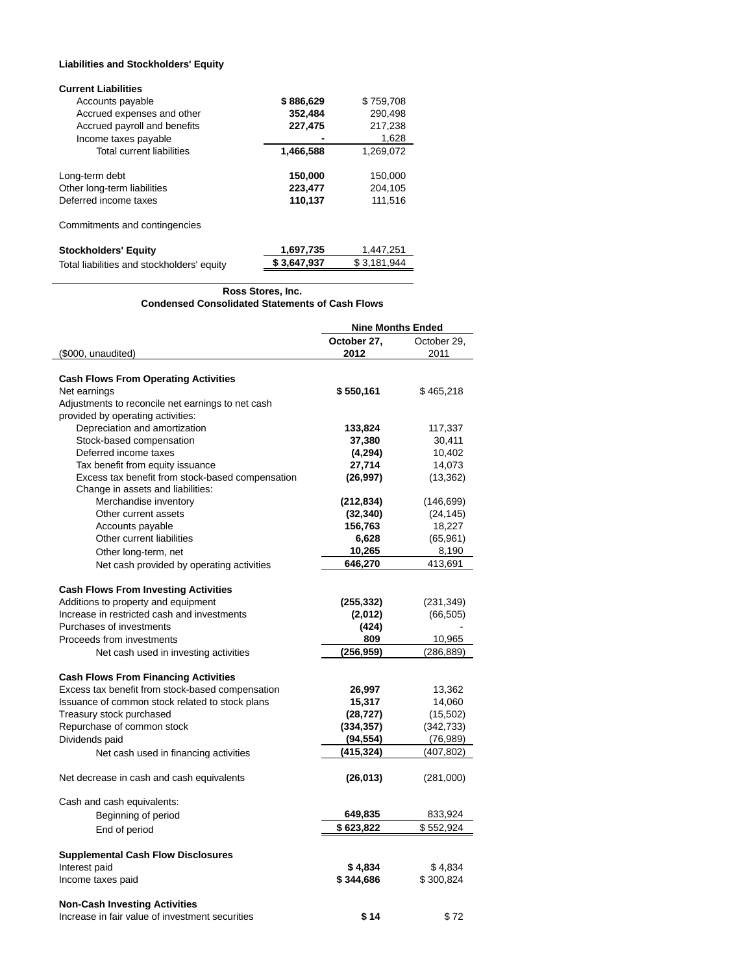# **Liabilities and Stockholders' Equity**

| <b>Current Liabilities</b>                 |             |             |
|--------------------------------------------|-------------|-------------|
| Accounts payable                           | \$886,629   | \$759.708   |
| Accrued expenses and other                 | 352,484     | 290.498     |
| Accrued payroll and benefits               | 227,475     | 217,238     |
| Income taxes payable                       |             | 1,628       |
| <b>Total current liabilities</b>           | 1,466,588   | 1,269,072   |
| Long-term debt                             | 150,000     | 150,000     |
| Other long-term liabilities                | 223,477     | 204,105     |
| Deferred income taxes                      | 110,137     | 111,516     |
| Commitments and contingencies              |             |             |
| <b>Stockholders' Equity</b>                | 1,697,735   | 1,447,251   |
| Total liabilities and stockholders' equity | \$3,647,937 | \$3,181,944 |
|                                            |             |             |

# **Ross Stores, Inc.**

**Condensed Consolidated Statements of Cash Flows**

|                                                   | <b>Nine Months Ended</b> |             |
|---------------------------------------------------|--------------------------|-------------|
|                                                   | October 27,              | October 29, |
| (\$000, unaudited)                                | 2012                     | 2011        |
|                                                   |                          |             |
| <b>Cash Flows From Operating Activities</b>       |                          |             |
| Net earnings                                      | \$550,161                | \$465,218   |
| Adjustments to reconcile net earnings to net cash |                          |             |
| provided by operating activities:                 |                          |             |
| Depreciation and amortization                     | 133,824                  | 117,337     |
| Stock-based compensation                          | 37,380                   | 30,411      |
| Deferred income taxes                             | (4,294)                  | 10,402      |
| Tax benefit from equity issuance                  | 27,714                   | 14,073      |
| Excess tax benefit from stock-based compensation  | (26, 997)                | (13, 362)   |
| Change in assets and liabilities:                 |                          |             |
| Merchandise inventory                             | (212, 834)               | (146, 699)  |
| Other current assets                              | (32, 340)                | (24, 145)   |
| Accounts payable                                  | 156,763                  | 18,227      |
| Other current liabilities                         | 6,628                    | (65, 961)   |
| Other long-term, net                              | 10,265                   | 8,190       |
| Net cash provided by operating activities         | 646,270                  | 413,691     |
|                                                   |                          |             |
| <b>Cash Flows From Investing Activities</b>       |                          |             |
| Additions to property and equipment               | (255, 332)               | (231, 349)  |
| Increase in restricted cash and investments       | (2,012)                  | (66, 505)   |
| Purchases of investments                          | (424)                    |             |
| Proceeds from investments                         | 809                      | 10,965      |
| Net cash used in investing activities             | (256, 959)               | (286, 889)  |
|                                                   |                          |             |
| <b>Cash Flows From Financing Activities</b>       |                          |             |
| Excess tax benefit from stock-based compensation  | 26,997                   | 13,362      |
| Issuance of common stock related to stock plans   | 15,317                   | 14,060      |
| Treasury stock purchased                          | (28, 727)                | (15, 502)   |
| Repurchase of common stock                        | (334, 357)               | (342, 733)  |
| Dividends paid                                    | (94, 554)                | (76, 989)   |
| Net cash used in financing activities             | (415, 324)               | (407,802)   |
| Net decrease in cash and cash equivalents         | (26, 013)                | (281,000)   |
|                                                   |                          |             |
| Cash and cash equivalents:                        | 649,835                  | 833,924     |
| Beginning of period                               |                          |             |
| End of period                                     | \$623,822                | \$552,924   |
| <b>Supplemental Cash Flow Disclosures</b>         |                          |             |
| Interest paid                                     | \$4,834                  | \$4,834     |
| Income taxes paid                                 | \$344,686                | \$300,824   |
|                                                   |                          |             |
| <b>Non-Cash Investing Activities</b>              |                          |             |
| Increase in fair value of investment securities   | \$14                     | \$72        |